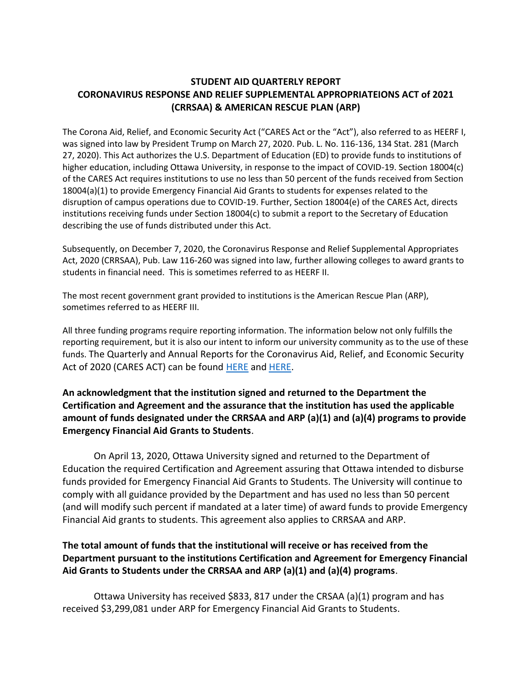### **STUDENT AID QUARTERLY REPORT CORONAVIRUS RESPONSE AND RELIEF SUPPLEMENTAL APPROPRIATEIONS ACT of 2021 (CRRSAA) & AMERICAN RESCUE PLAN (ARP)**

The Corona Aid, Relief, and Economic Security Act ("CARES Act or the "Act"), also referred to as HEERF I, was signed into law by President Trump on March 27, 2020. Pub. L. No. 116-136, 134 Stat. 281 (March 27, 2020). This Act authorizes the U.S. Department of Education (ED) to provide funds to institutions of higher education, including Ottawa University, in response to the impact of COVID-19. Section 18004(c) of the CARES Act requires institutions to use no less than 50 percent of the funds received from Section 18004(a)(1) to provide Emergency Financial Aid Grants to students for expenses related to the disruption of campus operations due to COVID-19. Further, Section 18004(e) of the CARES Act, directs institutions receiving funds under Section 18004(c) to submit a report to the Secretary of Education describing the use of funds distributed under this Act.

Subsequently, on December 7, 2020, the Coronavirus Response and Relief Supplemental Appropriates Act, 2020 (CRRSAA), Pub. Law 116-260 was signed into law, further allowing colleges to award grants to students in financial need. This is sometimes referred to as HEERF II.

The most recent government grant provided to institutions is the American Rescue Plan (ARP), sometimes referred to as HEERF III.

All three funding programs require reporting information. The information below not only fulfills the reporting requirement, but it is also our intent to inform our university community as to the use of these funds. The Quarterly and Annual Reports for the Coronavirus Aid, Relief, and Economic Security Act of 2020 (CARES ACT) can be found [HERE](https://www.ottawa.edu/Ottawa/media/ou/Landing%20Pages/Documents/CARES-30-day-report-Final-5-20-2020.pdf) an[d HERE.](https://www.ottawa.edu/Ottawa/media/ou/COVID-19/CARES_QtrlyBudgetExpend_Reporting_103020.pdf)

**An acknowledgment that the institution signed and returned to the Department the Certification and Agreement and the assurance that the institution has used the applicable amount of funds designated under the CRRSAA and ARP (a)(1) and (a)(4) programs to provide Emergency Financial Aid Grants to Students**.

On April 13, 2020, Ottawa University signed and returned to the Department of Education the required Certification and Agreement assuring that Ottawa intended to disburse funds provided for Emergency Financial Aid Grants to Students. The University will continue to comply with all guidance provided by the Department and has used no less than 50 percent (and will modify such percent if mandated at a later time) of award funds to provide Emergency Financial Aid grants to students. This agreement also applies to CRRSAA and ARP.

# **The total amount of funds that the institutional will receive or has received from the Department pursuant to the institutions Certification and Agreement for Emergency Financial Aid Grants to Students under the CRRSAA and ARP (a)(1) and (a)(4) programs**.

Ottawa University has received \$833, 817 under the CRSAA (a)(1) program and has received \$3,299,081 under ARP for Emergency Financial Aid Grants to Students.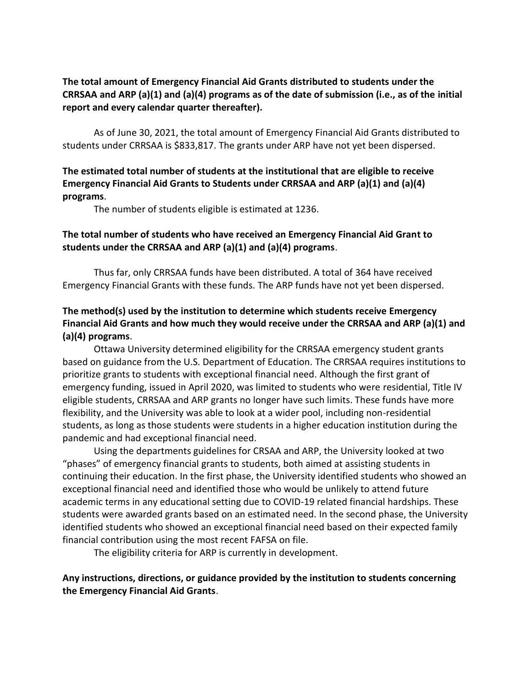#### **The total amount of Emergency Financial Aid Grants distributed to students under the CRRSAA and ARP (a)(1) and (a)(4) programs as of the date of submission (i.e., as of the initial report and every calendar quarter thereafter).**

As of June 30, 2021, the total amount of Emergency Financial Aid Grants distributed to students under CRRSAA is \$833,817. The grants under ARP have not yet been dispersed.

# **The estimated total number of students at the institutional that are eligible to receive Emergency Financial Aid Grants to Students under CRRSAA and ARP (a)(1) and (a)(4) programs**.

The number of students eligible is estimated at 1236.

# **The total number of students who have received an Emergency Financial Aid Grant to students under the CRRSAA and ARP (a)(1) and (a)(4) programs**.

Thus far, only CRRSAA funds have been distributed. A total of 364 have received Emergency Financial Grants with these funds. The ARP funds have not yet been dispersed.

# **The method(s) used by the institution to determine which students receive Emergency Financial Aid Grants and how much they would receive under the CRRSAA and ARP (a)(1) and (a)(4) programs**.

Ottawa University determined eligibility for the CRRSAA emergency student grants based on guidance from the U.S. Department of Education. The CRRSAA requires institutions to prioritize grants to students with exceptional financial need. Although the first grant of emergency funding, issued in April 2020, was limited to students who were residential, Title IV eligible students, CRRSAA and ARP grants no longer have such limits. These funds have more flexibility, and the University was able to look at a wider pool, including non-residential students, as long as those students were students in a higher education institution during the pandemic and had exceptional financial need.

Using the departments guidelines for CRSAA and ARP, the University looked at two "phases" of emergency financial grants to students, both aimed at assisting students in continuing their education. In the first phase, the University identified students who showed an exceptional financial need and identified those who would be unlikely to attend future academic terms in any educational setting due to COVID-19 related financial hardships. These students were awarded grants based on an estimated need. In the second phase, the University identified students who showed an exceptional financial need based on their expected family financial contribution using the most recent FAFSA on file.

The eligibility criteria for ARP is currently in development.

### **Any instructions, directions, or guidance provided by the institution to students concerning the Emergency Financial Aid Grants**.